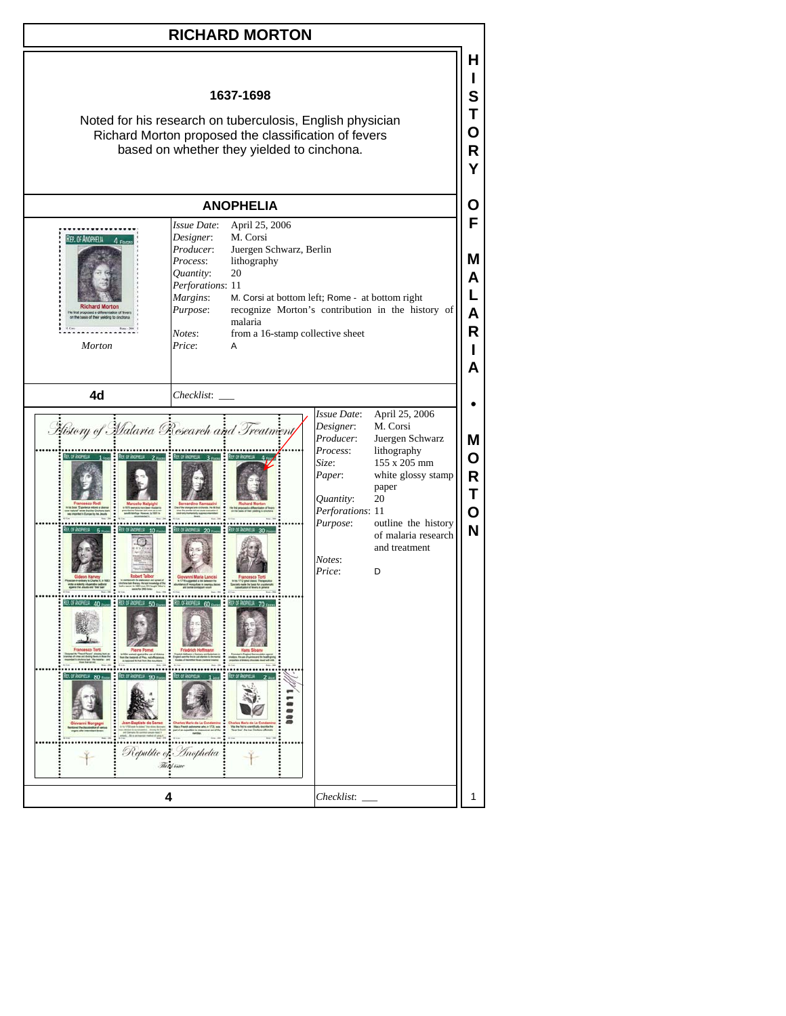